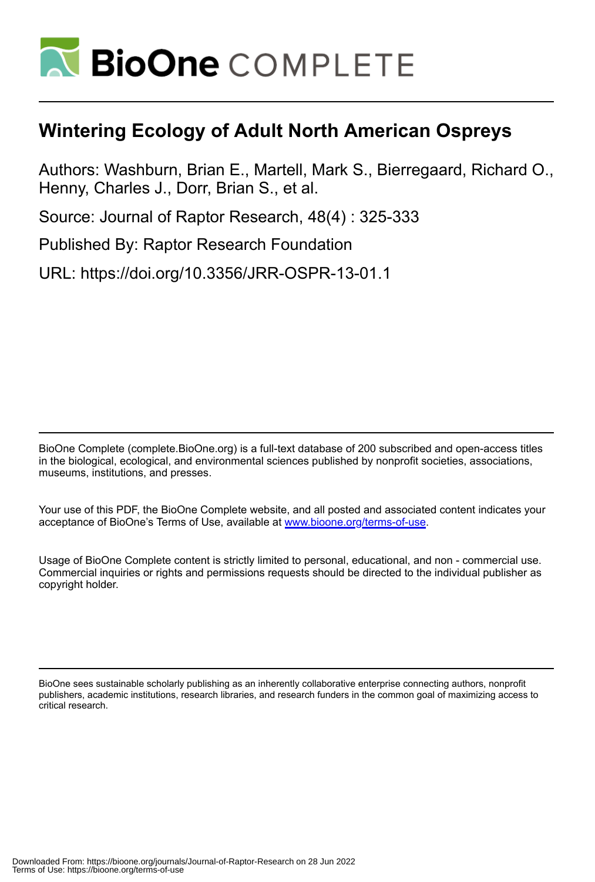

# **Wintering Ecology of Adult North American Ospreys**

Authors: Washburn, Brian E., Martell, Mark S., Bierregaard, Richard O., Henny, Charles J., Dorr, Brian S., et al.

Source: Journal of Raptor Research, 48(4) : 325-333

Published By: Raptor Research Foundation

URL: https://doi.org/10.3356/JRR-OSPR-13-01.1

BioOne Complete (complete.BioOne.org) is a full-text database of 200 subscribed and open-access titles in the biological, ecological, and environmental sciences published by nonprofit societies, associations, museums, institutions, and presses.

Your use of this PDF, the BioOne Complete website, and all posted and associated content indicates your acceptance of BioOne's Terms of Use, available at www.bioone.org/terms-of-use.

Usage of BioOne Complete content is strictly limited to personal, educational, and non - commercial use. Commercial inquiries or rights and permissions requests should be directed to the individual publisher as copyright holder.

BioOne sees sustainable scholarly publishing as an inherently collaborative enterprise connecting authors, nonprofit publishers, academic institutions, research libraries, and research funders in the common goal of maximizing access to critical research.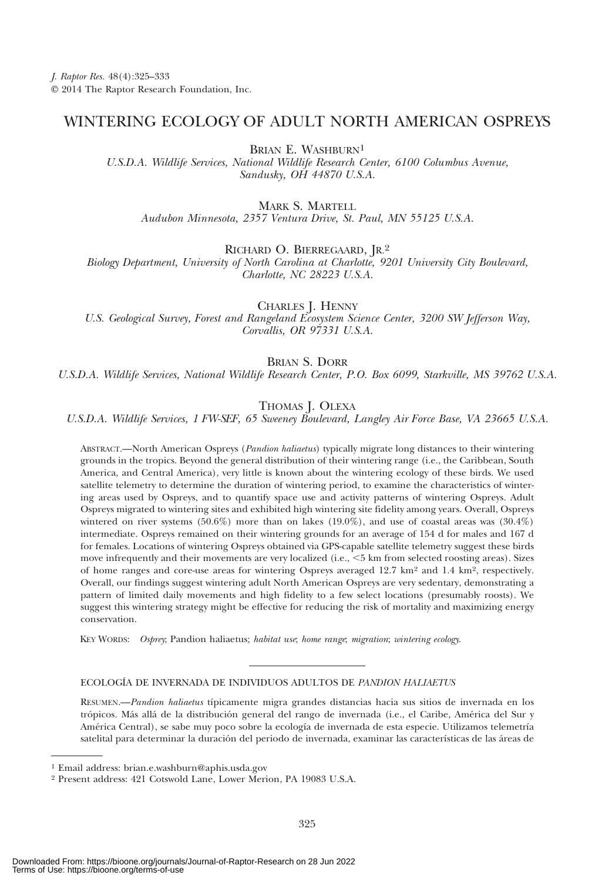# WINTERING ECOLOGY OF ADULT NORTH AMERICAN OSPREYS

BRIAN E. WASHBURN1

U.S.D.A. Wildlife Services, National Wildlife Research Center, 6100 Columbus Avenue, Sandusky, OH 44870 U.S.A.

MARK S. MARTELL

Audubon Minnesota, 2357 Ventura Drive, St. Paul, MN 55125 U.S.A.

RICHARD O. BIERREGAARD, JR.2

Biology Department, University of North Carolina at Charlotte, 9201 University City Boulevard, Charlotte, NC 28223 U.S.A.

CHARLES J. HENNY

U.S. Geological Survey, Forest and Rangeland Ecosystem Science Center, 3200 SW Jefferson Way, Corvallis, OR 97331 U.S.A.

BRIAN S. DORR

U.S.D.A. Wildlife Services, National Wildlife Research Center, P.O. Box 6099, Starkville, MS 39762 U.S.A.

# THOMAS J. OLEXA

U.S.D.A. Wildlife Services, 1 FW-SEF, 65 Sweeney Boulevard, Langley Air Force Base, VA 23665 U.S.A.

ABSTRACT.—North American Ospreys (Pandion haliaetus) typically migrate long distances to their wintering grounds in the tropics. Beyond the general distribution of their wintering range (i.e., the Caribbean, South America, and Central America), very little is known about the wintering ecology of these birds. We used satellite telemetry to determine the duration of wintering period, to examine the characteristics of wintering areas used by Ospreys, and to quantify space use and activity patterns of wintering Ospreys. Adult Ospreys migrated to wintering sites and exhibited high wintering site fidelity among years. Overall, Ospreys wintered on river systems  $(50.6\%)$  more than on lakes  $(19.0\%)$ , and use of coastal areas was  $(30.4\%)$ intermediate. Ospreys remained on their wintering grounds for an average of 154 d for males and 167 d for females. Locations of wintering Ospreys obtained via GPS-capable satellite telemetry suggest these birds move infrequently and their movements are very localized (i.e.,  $\leq$  5 km from selected roosting areas). Sizes of home ranges and core-use areas for wintering Ospreys averaged 12.7 km<sup>2</sup> and 1.4 km<sup>2</sup>, respectively. Overall, our findings suggest wintering adult North American Ospreys are very sedentary, demonstrating a pattern of limited daily movements and high fidelity to a few select locations (presumably roosts). We suggest this wintering strategy might be effective for reducing the risk of mortality and maximizing energy conservation.

KEY WORDS: Osprey; Pandion haliaetus; habitat use, home range, migration; wintering ecology.

## ECOLOGI´A DE INVERNADA DE INDIVIDUOS ADULTOS DE PANDION HALIAETUS

RESUMEN.—*Pandion haliaetus* típicamente migra grandes distancias hacia sus sitios de invernada en los trópicos. Más allá de la distribución general del rango de invernada (i.e., el Caribe, América del Sur y América Central), se sabe muy poco sobre la ecología de invernada de esta especie. Utilizamos telemetría satelital para determinar la duración del periodo de invernada, examinar las características de las áreas de

<sup>1</sup> Email address: brian.e.washburn@aphis.usda.gov

<sup>2</sup> Present address: 421 Cotswold Lane, Lower Merion, PA 19083 U.S.A.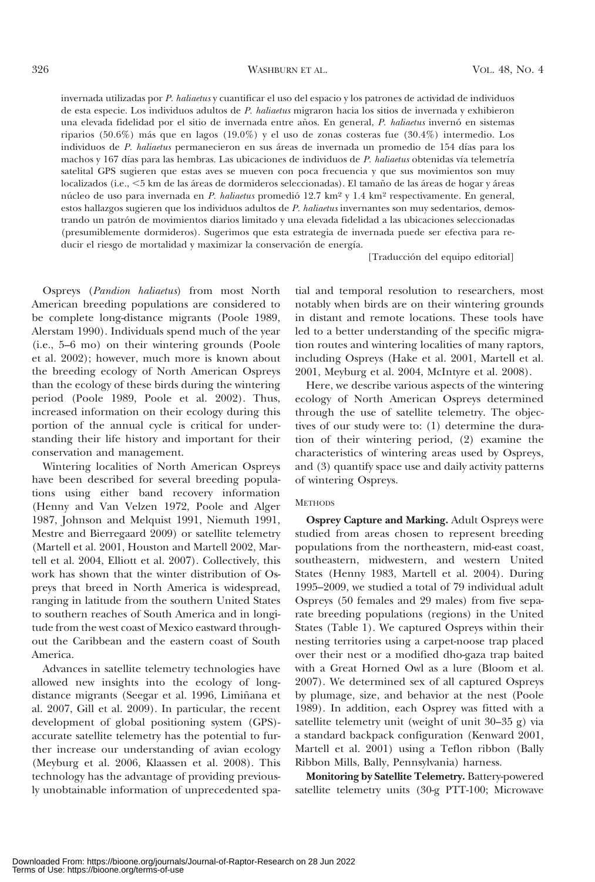invernada utilizadas por P. haliaetus y cuantificar el uso del espacio y los patrones de actividad de individuos de esta especie. Los individuos adultos de P. haliaetus migraron hacia los sitios de invernada y exhibieron una elevada fidelidad por el sitio de invernada entre años. En general, P. haliaetus invernó en sistemas riparios (50.6%) más que en lagos (19.0%) y el uso de zonas costeras fue (30.4%) intermedio. Los individuos de P. haliaetus permanecieron en sus áreas de invernada un promedio de 154 días para los machos y 167 días para las hembras. Las ubicaciones de individuos de P. haliaetus obtenidas vía telemetría satelital GPS sugieren que estas aves se mueven con poca frecuencia y que sus movimientos son muy localizados (i.e., <5 km de las áreas de dormideros seleccionadas). El tamaño de las áreas de hogar y áreas núcleo de uso para invernada en P. haliaetus promedió 12.7 km<sup>2</sup> y 1.4 km<sup>2</sup> respectivamente. En general, estos hallazgos sugieren que los individuos adultos de P. haliaetus invernantes son muy sedentarios, demostrando un patrón de movimientos diarios limitado y una elevada fidelidad a las ubicaciones seleccionadas (presumiblemente dormideros). Sugerimos que esta estrategia de invernada puede ser efectiva para reducir el riesgo de mortalidad y maximizar la conservación de energía.

[Traducción del equipo editorial]

Ospreys (Pandion haliaetus) from most North American breeding populations are considered to be complete long-distance migrants (Poole 1989, Alerstam 1990). Individuals spend much of the year (i.e., 5–6 mo) on their wintering grounds (Poole et al. 2002); however, much more is known about the breeding ecology of North American Ospreys than the ecology of these birds during the wintering period (Poole 1989, Poole et al. 2002). Thus, increased information on their ecology during this portion of the annual cycle is critical for understanding their life history and important for their conservation and management.

Wintering localities of North American Ospreys have been described for several breeding populations using either band recovery information (Henny and Van Velzen 1972, Poole and Alger 1987, Johnson and Melquist 1991, Niemuth 1991, Mestre and Bierregaard 2009) or satellite telemetry (Martell et al. 2001, Houston and Martell 2002, Martell et al. 2004, Elliott et al. 2007). Collectively, this work has shown that the winter distribution of Ospreys that breed in North America is widespread, ranging in latitude from the southern United States to southern reaches of South America and in longitude from the west coast of Mexico eastward throughout the Caribbean and the eastern coast of South America.

Advances in satellite telemetry technologies have allowed new insights into the ecology of longdistance migrants (Seegar et al. 1996, Limiñana et al. 2007, Gill et al. 2009). In particular, the recent development of global positioning system (GPS) accurate satellite telemetry has the potential to further increase our understanding of avian ecology (Meyburg et al. 2006, Klaassen et al. 2008). This technology has the advantage of providing previously unobtainable information of unprecedented spa-

tial and temporal resolution to researchers, most notably when birds are on their wintering grounds in distant and remote locations. These tools have led to a better understanding of the specific migration routes and wintering localities of many raptors, including Ospreys (Hake et al. 2001, Martell et al. 2001, Meyburg et al. 2004, McIntyre et al. 2008).

Here, we describe various aspects of the wintering ecology of North American Ospreys determined through the use of satellite telemetry. The objectives of our study were to: (1) determine the duration of their wintering period, (2) examine the characteristics of wintering areas used by Ospreys, and (3) quantify space use and daily activity patterns of wintering Ospreys.

### **METHODS**

Osprey Capture and Marking. Adult Ospreys were studied from areas chosen to represent breeding populations from the northeastern, mid-east coast, southeastern, midwestern, and western United States (Henny 1983, Martell et al. 2004). During 1995–2009, we studied a total of 79 individual adult Ospreys (50 females and 29 males) from five separate breeding populations (regions) in the United States (Table 1). We captured Ospreys within their nesting territories using a carpet-noose trap placed over their nest or a modified dho-gaza trap baited with a Great Horned Owl as a lure (Bloom et al. 2007). We determined sex of all captured Ospreys by plumage, size, and behavior at the nest (Poole 1989). In addition, each Osprey was fitted with a satellite telemetry unit (weight of unit 30–35 g) via a standard backpack configuration (Kenward 2001, Martell et al. 2001) using a Teflon ribbon (Bally Ribbon Mills, Bally, Pennsylvania) harness.

Monitoring by Satellite Telemetry. Battery-powered satellite telemetry units (30-g PTT-100; Microwave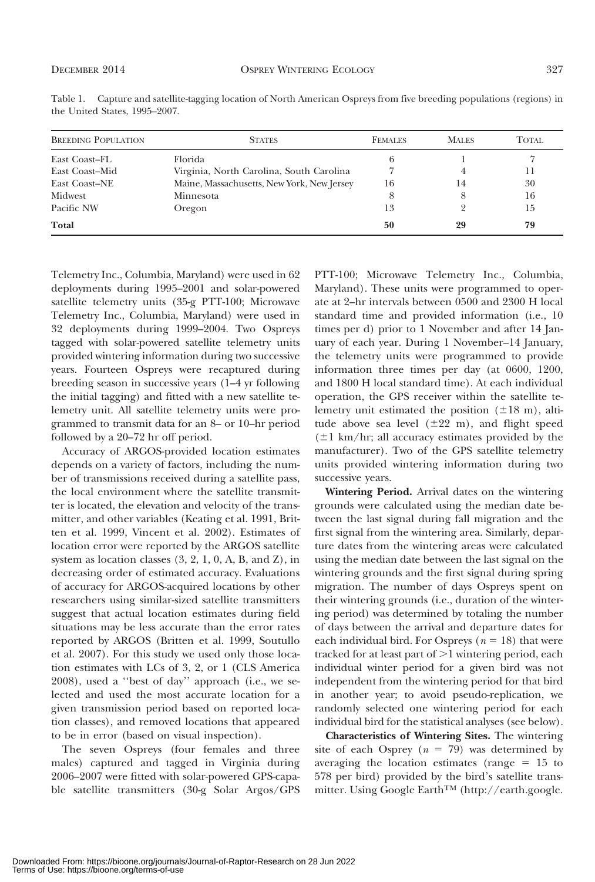| <b>BREEDING POPULATION</b> | <b>STATES</b>                              | <b>FEMALES</b> | <b>MALES</b> | <b>TOTAL</b> |
|----------------------------|--------------------------------------------|----------------|--------------|--------------|
| East Coast-FL              | Florida                                    |                |              |              |
| East Coast-Mid             | Virginia, North Carolina, South Carolina   |                |              | 11           |
| East Coast-NE              | Maine, Massachusetts, New York, New Jersey | 16             | 14           | 30           |
| Midwest                    | Minnesota                                  |                | 8            | 16           |
| Pacific NW                 | Oregon                                     | 13             | 9            | 15           |
| Total                      |                                            | 50             | 29           | 79           |

Table 1. Capture and satellite-tagging location of North American Ospreys from five breeding populations (regions) in the United States, 1995–2007.

Telemetry Inc., Columbia, Maryland) were used in 62 deployments during 1995–2001 and solar-powered satellite telemetry units (35-g PTT-100; Microwave Telemetry Inc., Columbia, Maryland) were used in 32 deployments during 1999–2004. Two Ospreys tagged with solar-powered satellite telemetry units provided wintering information during two successive years. Fourteen Ospreys were recaptured during breeding season in successive years (1–4 yr following the initial tagging) and fitted with a new satellite telemetry unit. All satellite telemetry units were programmed to transmit data for an 8– or 10–hr period followed by a 20–72 hr off period.

Accuracy of ARGOS-provided location estimates depends on a variety of factors, including the number of transmissions received during a satellite pass, the local environment where the satellite transmitter is located, the elevation and velocity of the transmitter, and other variables (Keating et al. 1991, Britten et al. 1999, Vincent et al. 2002). Estimates of location error were reported by the ARGOS satellite system as location classes (3, 2, 1, 0, A, B, and Z), in decreasing order of estimated accuracy. Evaluations of accuracy for ARGOS-acquired locations by other researchers using similar-sized satellite transmitters suggest that actual location estimates during field situations may be less accurate than the error rates reported by ARGOS (Britten et al. 1999, Soutullo et al. 2007). For this study we used only those location estimates with LCs of 3, 2, or 1 (CLS America 2008), used a ''best of day'' approach (i.e., we selected and used the most accurate location for a given transmission period based on reported location classes), and removed locations that appeared to be in error (based on visual inspection).

The seven Ospreys (four females and three males) captured and tagged in Virginia during 2006–2007 were fitted with solar-powered GPS-capable satellite transmitters (30-g Solar Argos/GPS

PTT-100; Microwave Telemetry Inc., Columbia, Maryland). These units were programmed to operate at 2–hr intervals between 0500 and 2300 H local standard time and provided information (i.e., 10 times per d) prior to 1 November and after 14 January of each year. During 1 November–14 January, the telemetry units were programmed to provide information three times per day (at 0600, 1200, and 1800 H local standard time). At each individual operation, the GPS receiver within the satellite telemetry unit estimated the position  $(\pm 18 \text{ m})$ , altitude above sea level  $(\pm 22 \text{ m})$ , and flight speed  $(\pm 1 \text{ km/hr};$  all accuracy estimates provided by the manufacturer). Two of the GPS satellite telemetry units provided wintering information during two successive years.

Wintering Period. Arrival dates on the wintering grounds were calculated using the median date between the last signal during fall migration and the first signal from the wintering area. Similarly, departure dates from the wintering areas were calculated using the median date between the last signal on the wintering grounds and the first signal during spring migration. The number of days Ospreys spent on their wintering grounds (i.e., duration of the wintering period) was determined by totaling the number of days between the arrival and departure dates for each individual bird. For Ospreys ( $n = 18$ ) that were tracked for at least part of  $>1$  wintering period, each individual winter period for a given bird was not independent from the wintering period for that bird in another year; to avoid pseudo-replication, we randomly selected one wintering period for each individual bird for the statistical analyses (see below).

Characteristics of Wintering Sites. The wintering site of each Osprey ( $n = 79$ ) was determined by averaging the location estimates (range  $= 15$  to 578 per bird) provided by the bird's satellite transmitter. Using Google EarthTM (http://earth.google.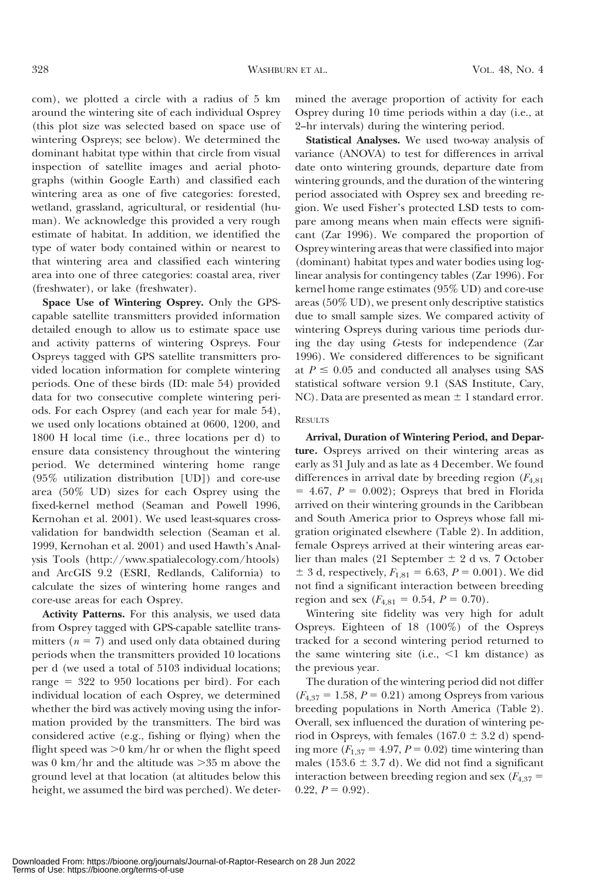com), we plotted a circle with a radius of 5 km around the wintering site of each individual Osprey (this plot size was selected based on space use of wintering Ospreys; see below). We determined the dominant habitat type within that circle from visual inspection of satellite images and aerial photographs (within Google Earth) and classified each wintering area as one of five categories: forested, wetland, grassland, agricultural, or residential (human). We acknowledge this provided a very rough estimate of habitat. In addition, we identified the type of water body contained within or nearest to that wintering area and classified each wintering area into one of three categories: coastal area, river (freshwater), or lake (freshwater).

Space Use of Wintering Osprey. Only the GPScapable satellite transmitters provided information detailed enough to allow us to estimate space use and activity patterns of wintering Ospreys. Four Ospreys tagged with GPS satellite transmitters provided location information for complete wintering periods. One of these birds (ID: male 54) provided data for two consecutive complete wintering periods. For each Osprey (and each year for male 54), we used only locations obtained at 0600, 1200, and 1800 H local time (i.e., three locations per d) to ensure data consistency throughout the wintering period. We determined wintering home range (95% utilization distribution [UD]) and core-use area (50% UD) sizes for each Osprey using the fixed-kernel method (Seaman and Powell 1996, Kernohan et al. 2001). We used least-squares crossvalidation for bandwidth selection (Seaman et al. 1999, Kernohan et al. 2001) and used Hawth's Analysis Tools (http://www.spatialecology.com/htools) and ArcGIS 9.2 (ESRI, Redlands, California) to calculate the sizes of wintering home ranges and core-use areas for each Osprey.

Activity Patterns. For this analysis, we used data from Osprey tagged with GPS-capable satellite transmitters ( $n = 7$ ) and used only data obtained during periods when the transmitters provided 10 locations per d (we used a total of 5103 individual locations; range  $= 322$  to 950 locations per bird). For each individual location of each Osprey, we determined whether the bird was actively moving using the information provided by the transmitters. The bird was considered active (e.g., fishing or flying) when the flight speed was  $>0$  km/hr or when the flight speed was 0 km/hr and the altitude was  $>35$  m above the ground level at that location (at altitudes below this height, we assumed the bird was perched). We determined the average proportion of activity for each Osprey during 10 time periods within a day (i.e., at 2–hr intervals) during the wintering period.

Statistical Analyses. We used two-way analysis of variance (ANOVA) to test for differences in arrival date onto wintering grounds, departure date from wintering grounds, and the duration of the wintering period associated with Osprey sex and breeding region. We used Fisher's protected LSD tests to compare among means when main effects were significant (Zar 1996). We compared the proportion of Osprey wintering areas that were classified into major (dominant) habitat types and water bodies using loglinear analysis for contingency tables (Zar 1996). For kernel home range estimates (95% UD) and core-use areas (50% UD), we present only descriptive statistics due to small sample sizes. We compared activity of wintering Ospreys during various time periods during the day using G-tests for independence (Zar 1996). We considered differences to be significant at  $P \leq 0.05$  and conducted all analyses using SAS statistical software version 9.1 (SAS Institute, Cary, NC). Data are presented as mean  $\pm$  1 standard error.

#### **RESULTS**

Arrival, Duration of Wintering Period, and Departure. Ospreys arrived on their wintering areas as early as 31 July and as late as 4 December. We found differences in arrival date by breeding region  $(F_{4,81})$  $= 4.67$ ,  $P = 0.002$ ); Ospreys that bred in Florida arrived on their wintering grounds in the Caribbean and South America prior to Ospreys whose fall migration originated elsewhere (Table 2). In addition, female Ospreys arrived at their wintering areas earlier than males (21 September  $\pm$  2 d vs. 7 October  $\pm$  3 d, respectively,  $F_{1,81} = 6.63, P = 0.001$ . We did not find a significant interaction between breeding region and sex  $(F_{4,81} = 0.54, P = 0.70)$ .

Wintering site fidelity was very high for adult Ospreys. Eighteen of 18 (100%) of the Ospreys tracked for a second wintering period returned to the same wintering site (i.e.,  $\leq 1$  km distance) as the previous year.

The duration of the wintering period did not differ  $(F_{4,37} = 1.58, P = 0.21)$  among Ospreys from various breeding populations in North America (Table 2). Overall, sex influenced the duration of wintering period in Ospreys, with females (167.0  $\pm$  3.2 d) spending more  $(F_{1,37} = 4.97, P = 0.02)$  time wintering than males (153.6  $\pm$  3.7 d). We did not find a significant interaction between breeding region and sex ( $F_{4,37}$  =  $0.22, P = 0.92$ .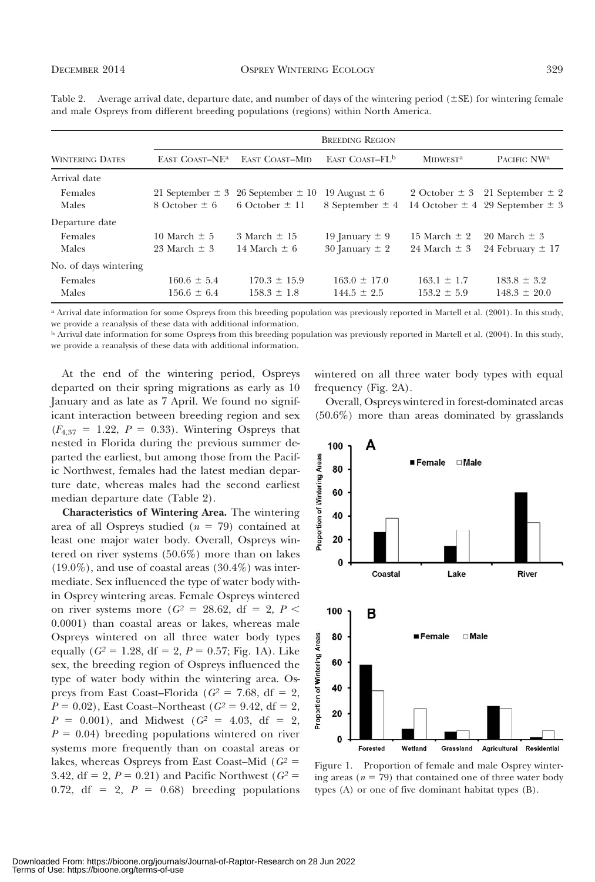|                        | <b>BREEDING REGION</b>     |                                            |                            |                            |                                         |
|------------------------|----------------------------|--------------------------------------------|----------------------------|----------------------------|-----------------------------------------|
| <b>WINTERING DATES</b> | EAST COAST-NE <sup>a</sup> | EAST COAST-MID                             | EAST COAST-FL <sup>b</sup> | <b>MIDWEST<sup>a</sup></b> | PACIFIC NW <sup>a</sup>                 |
| Arrival date           |                            |                                            |                            |                            |                                         |
| Females                |                            | 21 September $\pm$ 3 26 September $\pm$ 10 | 19 August $\pm$ 6          |                            | 2 October $\pm$ 3 21 September $\pm$ 2  |
| Males                  | 8 October $\pm$ 6          | 6 October $\pm$ 11                         | 8 September $\pm$ 4        |                            | 14 October $\pm$ 4 29 September $\pm$ 3 |
| Departure date         |                            |                                            |                            |                            |                                         |
| Females                | 10 March $\pm$ 5           | $3$ March $\pm$ 15                         | 19 January $\pm$ 9         | 15 March $\pm$ 2           | 20 March $\pm$ 3                        |
| Males                  | 23 March $\pm$ 3           | 14 March $\pm$ 6                           | 30 January $\pm$ 2         | 24 March $\pm$ 3           | 24 February $\pm$ 17                    |
| No. of days wintering  |                            |                                            |                            |                            |                                         |
| Females                | $160.6 \pm 5.4$            | $170.3 \pm 15.9$                           | $163.0 \pm 17.0$           | $163.1 \pm 1.7$            | $183.8 \pm 3.2$                         |
| Males                  | $156.6 \pm 6.4$            | $158.3 \pm 1.8$                            | $144.5 \pm 2.5$            | $153.2 \pm 5.9$            | $148.3 \pm 20.0$                        |

Table 2. Average arrival date, departure date, and number of days of the wintering period ( $\pm$ SE) for wintering female and male Ospreys from different breeding populations (regions) within North America.

a Arrival date information for some Ospreys from this breeding population was previously reported in Martell et al. (2001). In this study, we provide a reanalysis of these data with additional information.

b Arrival date information for some Ospreys from this breeding population was previously reported in Martell et al. (2004). In this study, we provide a reanalysis of these data with additional information.

At the end of the wintering period, Ospreys departed on their spring migrations as early as 10 January and as late as 7 April. We found no significant interaction between breeding region and sex  $(F_{4,37} = 1.22, P = 0.33)$ . Wintering Ospreys that nested in Florida during the previous summer departed the earliest, but among those from the Pacific Northwest, females had the latest median departure date, whereas males had the second earliest median departure date (Table 2).

Characteristics of Wintering Area. The wintering area of all Ospreys studied ( $n = 79$ ) contained at least one major water body. Overall, Ospreys wintered on river systems (50.6%) more than on lakes  $(19.0\%)$ , and use of coastal areas  $(30.4\%)$  was intermediate. Sex influenced the type of water body within Osprey wintering areas. Female Ospreys wintered on river systems more ( $G^2 = 28.62$ , df = 2, P < 0.0001) than coastal areas or lakes, whereas male Ospreys wintered on all three water body types equally ( $G^2 = 1.28$ , df = 2,  $P = 0.57$ ; Fig. 1A). Like sex, the breeding region of Ospreys influenced the type of water body within the wintering area. Ospreys from East Coast–Florida ( $G^2 = 7.68$ , df = 2,  $P = 0.02$ ), East Coast–Northeast ( $G<sup>2</sup> = 9.42$ , df = 2,  $P = 0.001$ , and Midwest ( $G<sup>2</sup> = 4.03$ , df = 2,  $P = 0.04$ ) breeding populations wintered on river systems more frequently than on coastal areas or lakes, whereas Ospreys from East Coast–Mid ( $G^2$  = 3.42, df = 2,  $P = 0.21$ ) and Pacific Northwest ( $G^2 =$ 0.72, df = 2,  $P = 0.68$ ) breeding populations wintered on all three water body types with equal frequency (Fig. 2A).

Overall, Ospreys wintered in forest-dominated areas (50.6%) more than areas dominated by grasslands



Figure 1. Proportion of female and male Osprey wintering areas ( $n = 79$ ) that contained one of three water body types (A) or one of five dominant habitat types (B).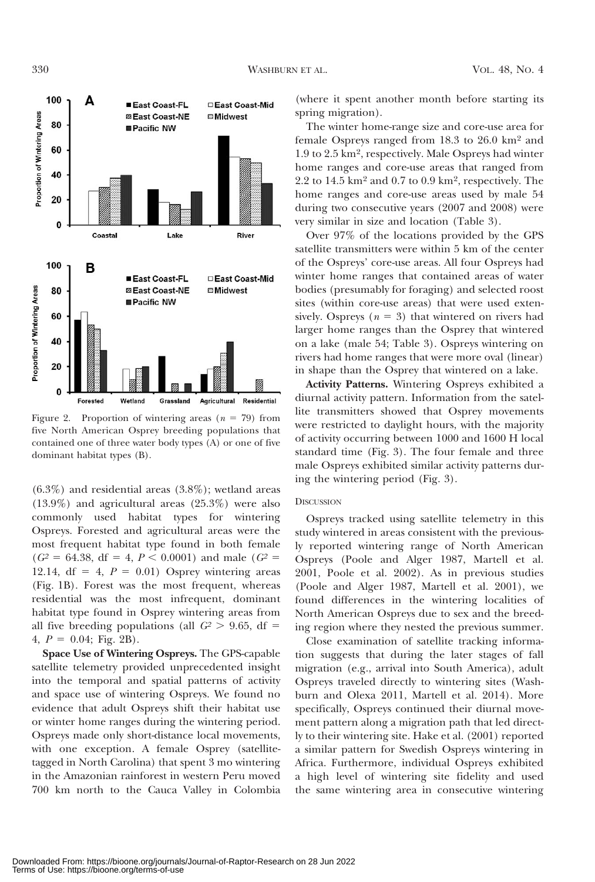

Figure 2. Proportion of wintering areas ( $n = 79$ ) from five North American Osprey breeding populations that contained one of three water body types (A) or one of five dominant habitat types (B).

(6.3%) and residential areas (3.8%); wetland areas (13.9%) and agricultural areas (25.3%) were also commonly used habitat types for wintering Ospreys. Forested and agricultural areas were the most frequent habitat type found in both female  $(G<sup>2</sup> = 64.38, df = 4, P < 0.0001)$  and male  $(G<sup>2</sup> =$ 12.14, df = 4,  $P = 0.01$ ) Osprey wintering areas (Fig. 1B). Forest was the most frequent, whereas residential was the most infrequent, dominant habitat type found in Osprey wintering areas from all five breeding populations (all  $G^2 > 9.65$ , df = 4,  $P = 0.04$ ; Fig. 2B).

Space Use of Wintering Ospreys. The GPS-capable satellite telemetry provided unprecedented insight into the temporal and spatial patterns of activity and space use of wintering Ospreys. We found no evidence that adult Ospreys shift their habitat use or winter home ranges during the wintering period. Ospreys made only short-distance local movements, with one exception. A female Osprey (satellitetagged in North Carolina) that spent 3 mo wintering in the Amazonian rainforest in western Peru moved 700 km north to the Cauca Valley in Colombia

(where it spent another month before starting its spring migration).

The winter home-range size and core-use area for female Ospreys ranged from 18.3 to 26.0 km2 and 1.9 to 2.5 km2, respectively. Male Ospreys had winter home ranges and core-use areas that ranged from 2.2 to 14.5 km2 and 0.7 to 0.9 km2, respectively. The home ranges and core-use areas used by male 54 during two consecutive years (2007 and 2008) were very similar in size and location (Table 3).

Over 97% of the locations provided by the GPS satellite transmitters were within 5 km of the center of the Ospreys' core-use areas. All four Ospreys had winter home ranges that contained areas of water bodies (presumably for foraging) and selected roost sites (within core-use areas) that were used extensively. Ospreys ( $n = 3$ ) that wintered on rivers had larger home ranges than the Osprey that wintered on a lake (male 54; Table 3). Ospreys wintering on rivers had home ranges that were more oval (linear) in shape than the Osprey that wintered on a lake.

Activity Patterns. Wintering Ospreys exhibited a diurnal activity pattern. Information from the satellite transmitters showed that Osprey movements were restricted to daylight hours, with the majority of activity occurring between 1000 and 1600 H local standard time (Fig. 3). The four female and three male Ospreys exhibited similar activity patterns during the wintering period (Fig. 3).

#### **DISCUSSION**

Ospreys tracked using satellite telemetry in this study wintered in areas consistent with the previously reported wintering range of North American Ospreys (Poole and Alger 1987, Martell et al. 2001, Poole et al. 2002). As in previous studies (Poole and Alger 1987, Martell et al. 2001), we found differences in the wintering localities of North American Ospreys due to sex and the breeding region where they nested the previous summer.

Close examination of satellite tracking information suggests that during the later stages of fall migration (e.g., arrival into South America), adult Ospreys traveled directly to wintering sites (Washburn and Olexa 2011, Martell et al. 2014). More specifically, Ospreys continued their diurnal movement pattern along a migration path that led directly to their wintering site. Hake et al. (2001) reported a similar pattern for Swedish Ospreys wintering in Africa. Furthermore, individual Ospreys exhibited a high level of wintering site fidelity and used the same wintering area in consecutive wintering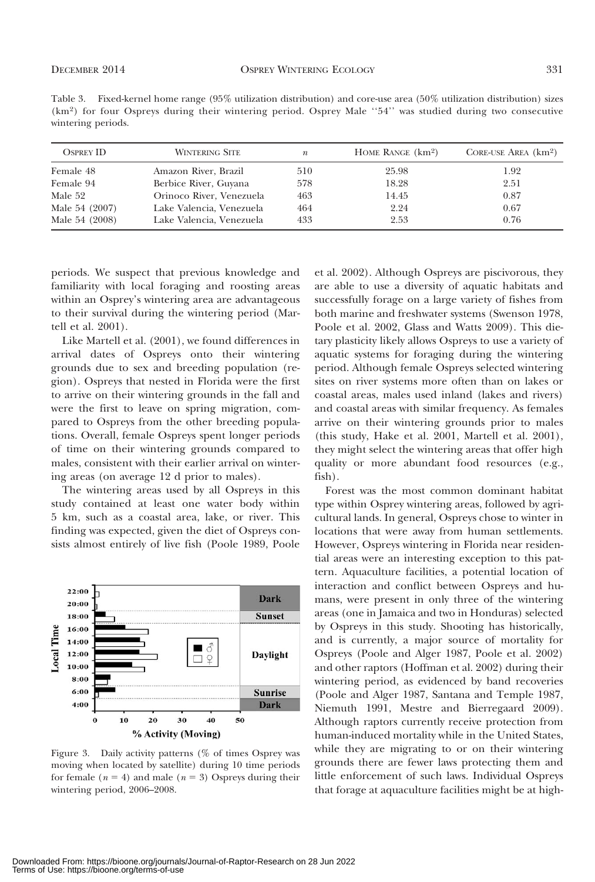Table 3. Fixed-kernel home range (95% utilization distribution) and core-use area (50% utilization distribution) sizes (km2) for four Ospreys during their wintering period. Osprey Male ''54'' was studied during two consecutive wintering periods.

| <b>OSPREY ID</b> | <b>WINTERING SITE</b>    | $\boldsymbol{n}$ | HOME RANGE $(km2)$ | CORE-USE AREA (km <sup>2</sup> ) |
|------------------|--------------------------|------------------|--------------------|----------------------------------|
| Female 48        | Amazon River, Brazil     | 510              | 25.98              | 1.92                             |
| Female 94        | Berbice River, Guyana    | 578              | 18.28              | 2.51                             |
| Male 52          | Orinoco River, Venezuela | 463              | 14.45              | 0.87                             |
| Male 54 (2007)   | Lake Valencia, Venezuela | 464              | 2.24               | 0.67                             |
| Male 54 (2008)   | Lake Valencia, Venezuela | 433              | 2.53               | 0.76                             |

periods. We suspect that previous knowledge and familiarity with local foraging and roosting areas within an Osprey's wintering area are advantageous to their survival during the wintering period (Martell et al. 2001).

Like Martell et al. (2001), we found differences in arrival dates of Ospreys onto their wintering grounds due to sex and breeding population (region). Ospreys that nested in Florida were the first to arrive on their wintering grounds in the fall and were the first to leave on spring migration, compared to Ospreys from the other breeding populations. Overall, female Ospreys spent longer periods of time on their wintering grounds compared to males, consistent with their earlier arrival on wintering areas (on average 12 d prior to males).

The wintering areas used by all Ospreys in this study contained at least one water body within 5 km, such as a coastal area, lake, or river. This finding was expected, given the diet of Ospreys consists almost entirely of live fish (Poole 1989, Poole



Figure 3. Daily activity patterns (% of times Osprey was moving when located by satellite) during 10 time periods for female ( $n = 4$ ) and male ( $n = 3$ ) Ospreys during their wintering period, 2006–2008.

et al. 2002). Although Ospreys are piscivorous, they are able to use a diversity of aquatic habitats and successfully forage on a large variety of fishes from both marine and freshwater systems (Swenson 1978, Poole et al. 2002, Glass and Watts 2009). This dietary plasticity likely allows Ospreys to use a variety of aquatic systems for foraging during the wintering period. Although female Ospreys selected wintering sites on river systems more often than on lakes or coastal areas, males used inland (lakes and rivers) and coastal areas with similar frequency. As females arrive on their wintering grounds prior to males (this study, Hake et al. 2001, Martell et al. 2001), they might select the wintering areas that offer high quality or more abundant food resources (e.g., fish).

Forest was the most common dominant habitat type within Osprey wintering areas, followed by agricultural lands. In general, Ospreys chose to winter in locations that were away from human settlements. However, Ospreys wintering in Florida near residential areas were an interesting exception to this pattern. Aquaculture facilities, a potential location of interaction and conflict between Ospreys and humans, were present in only three of the wintering areas (one in Jamaica and two in Honduras) selected by Ospreys in this study. Shooting has historically, and is currently, a major source of mortality for Ospreys (Poole and Alger 1987, Poole et al. 2002) and other raptors (Hoffman et al. 2002) during their wintering period, as evidenced by band recoveries (Poole and Alger 1987, Santana and Temple 1987, Niemuth 1991, Mestre and Bierregaard 2009). Although raptors currently receive protection from human-induced mortality while in the United States, while they are migrating to or on their wintering grounds there are fewer laws protecting them and little enforcement of such laws. Individual Ospreys that forage at aquaculture facilities might be at high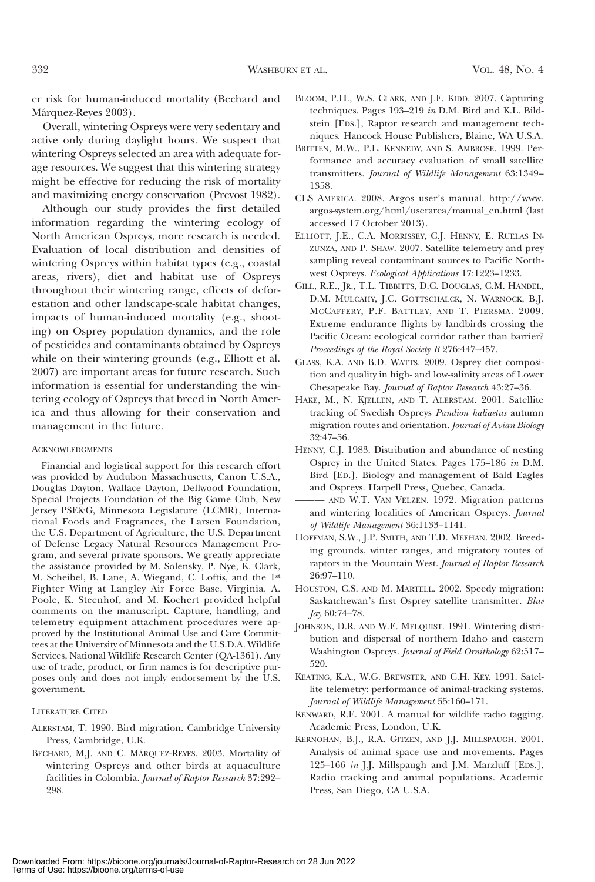er risk for human-induced mortality (Bechard and Márquez-Reyes 2003).

Overall, wintering Ospreys were very sedentary and active only during daylight hours. We suspect that wintering Ospreys selected an area with adequate forage resources. We suggest that this wintering strategy might be effective for reducing the risk of mortality and maximizing energy conservation (Prevost 1982).

Although our study provides the first detailed information regarding the wintering ecology of North American Ospreys, more research is needed. Evaluation of local distribution and densities of wintering Ospreys within habitat types (e.g., coastal areas, rivers), diet and habitat use of Ospreys throughout their wintering range, effects of deforestation and other landscape-scale habitat changes, impacts of human-induced mortality (e.g., shooting) on Osprey population dynamics, and the role of pesticides and contaminants obtained by Ospreys while on their wintering grounds (e.g., Elliott et al. 2007) are important areas for future research. Such information is essential for understanding the wintering ecology of Ospreys that breed in North America and thus allowing for their conservation and management in the future.

#### **ACKNOWLEDGMENTS**

Financial and logistical support for this research effort was provided by Audubon Massachusetts, Canon U.S.A., Douglas Dayton, Wallace Dayton, Dellwood Foundation, Special Projects Foundation of the Big Game Club, New Jersey PSE&G, Minnesota Legislature (LCMR), International Foods and Fragrances, the Larsen Foundation, the U.S. Department of Agriculture, the U.S. Department of Defense Legacy Natural Resources Management Program, and several private sponsors. We greatly appreciate the assistance provided by M. Solensky, P. Nye, K. Clark, M. Scheibel, B. Lane, A. Wiegand, C. Loftis, and the 1st Fighter Wing at Langley Air Force Base, Virginia. A. Poole, K. Steenhof, and M. Kochert provided helpful comments on the manuscript. Capture, handling, and telemetry equipment attachment procedures were approved by the Institutional Animal Use and Care Committees at the University of Minnesota and the U.S.D.A. Wildlife Services, National Wildlife Research Center (QA-1361). Any use of trade, product, or firm names is for descriptive purposes only and does not imply endorsement by the U.S. government.

#### LITERATURE CITED

- ALERSTAM, T. 1990. Bird migration. Cambridge University Press, Cambridge, U.K.
- BECHARD, M.J. AND C. MÁRQUEZ-REYES. 2003. Mortality of wintering Ospreys and other birds at aquaculture facilities in Colombia. Journal of Raptor Research 37:292– 298.
- BLOOM, P.H., W.S. CLARK, AND J.F. KIDD. 2007. Capturing techniques. Pages 193–219 in D.M. Bird and K.L. Bildstein [EDS.], Raptor research and management techniques. Hancock House Publishers, Blaine, WA U.S.A.
- BRITTEN, M.W., P.L. KENNEDY, AND S. AMBROSE. 1999. Performance and accuracy evaluation of small satellite transmitters. Journal of Wildlife Management 63:1349– 1358.
- CLS AMERICA. 2008. Argos user's manual. http://www. argos-system.org/html/userarea/manual\_en.html (last accessed 17 October 2013).
- ELLIOTT, J.E., C.A. MORRISSEY, C.J. HENNY, E. RUELAS IN-ZUNZA, AND P. SHAW. 2007. Satellite telemetry and prey sampling reveal contaminant sources to Pacific Northwest Ospreys. Ecological Applications 17:1223–1233.
- GILL, R.E., JR., T.L. TIBBITTS, D.C. DOUGLAS, C.M. HANDEL, D.M. MULCAHY, J.C. GOTTSCHALCK, N. WARNOCK, B.J. MCCAFFERY, P.F. BATTLEY, AND T. PIERSMA. 2009. Extreme endurance flights by landbirds crossing the Pacific Ocean: ecological corridor rather than barrier? Proceedings of the Royal Society B 276:447–457.
- GLASS, K.A. AND B.D. WATTS. 2009. Osprey diet composition and quality in high- and low-salinity areas of Lower Chesapeake Bay. Journal of Raptor Research 43:27–36.
- HAKE, M., N. KJELLEN, AND T. ALERSTAM. 2001. Satellite tracking of Swedish Ospreys Pandion haliaetus autumn migration routes and orientation. Journal of Avian Biology 32:47–56.
- HENNY, C.J. 1983. Distribution and abundance of nesting Osprey in the United States. Pages 175–186 in D.M. Bird [ED.], Biology and management of Bald Eagles and Ospreys. Harpell Press, Quebec, Canada.
- ——— AND W.T. VAN VELZEN. 1972. Migration patterns and wintering localities of American Ospreys. Journal of Wildlife Management 36:1133–1141.
- HOFFMAN, S.W., J.P. SMITH, AND T.D. MEEHAN. 2002. Breeding grounds, winter ranges, and migratory routes of raptors in the Mountain West. Journal of Raptor Research 26:97–110.
- HOUSTON, C.S. AND M. MARTELL. 2002. Speedy migration: Saskatchewan's first Osprey satellite transmitter. Blue *Jay* 60:74–78.
- JOHNSON, D.R. AND W.E. MELQUIST. 1991. Wintering distribution and dispersal of northern Idaho and eastern Washington Ospreys. Journal of Field Ornithology 62:517– 520.
- KEATING, K.A., W.G. BREWSTER, AND C.H. KEY. 1991. Satellite telemetry: performance of animal-tracking systems. Journal of Wildlife Management 55:160–171.
- KENWARD, R.E. 2001. A manual for wildlife radio tagging. Academic Press, London, U.K.
- KERNOHAN, B.J., R.A. GITZEN, AND J.J. MILLSPAUGH. 2001. Analysis of animal space use and movements. Pages 125–166 in J.J. Millspaugh and J.M. Marzluff [EDS.], Radio tracking and animal populations. Academic Press, San Diego, CA U.S.A.